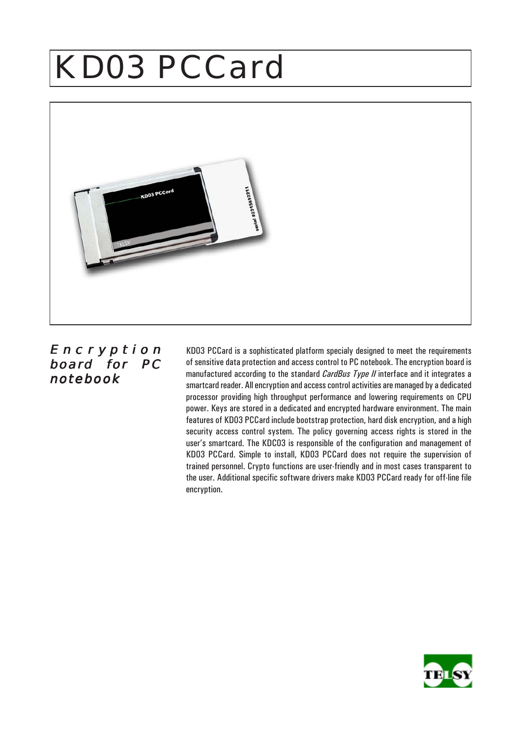# KD03 PCCard



### Encr yption board for PC notebook

KD03 PCCard is a sophisticated platform specialy designed to meet the requirements of sensitive data protection and access control to PC notebook. The encryption board is manufactured according to the standard *CardBus Type II* interface and it integrates a smartcard reader. All encryption and access control activities are managed by a dedicated processor providing high throughput performance and lowering requirements on CPU power. Keys are stored in a dedicated and encrypted hardware environment. The main features of KD03 PCCard include bootstrap protection, hard disk encryption, and a high security access control system. The policy governing access rights is stored in the user's smartcard. The KDC03 is responsible of the configuration and management of KD03 PCCard. Simple to install, KD03 PCCard does not require the supervision of trained personnel. Crypto functions are user-friendly and in most cases transparent to the user. Additional specific software drivers make KD03 PCCard ready for off-line file encryption.